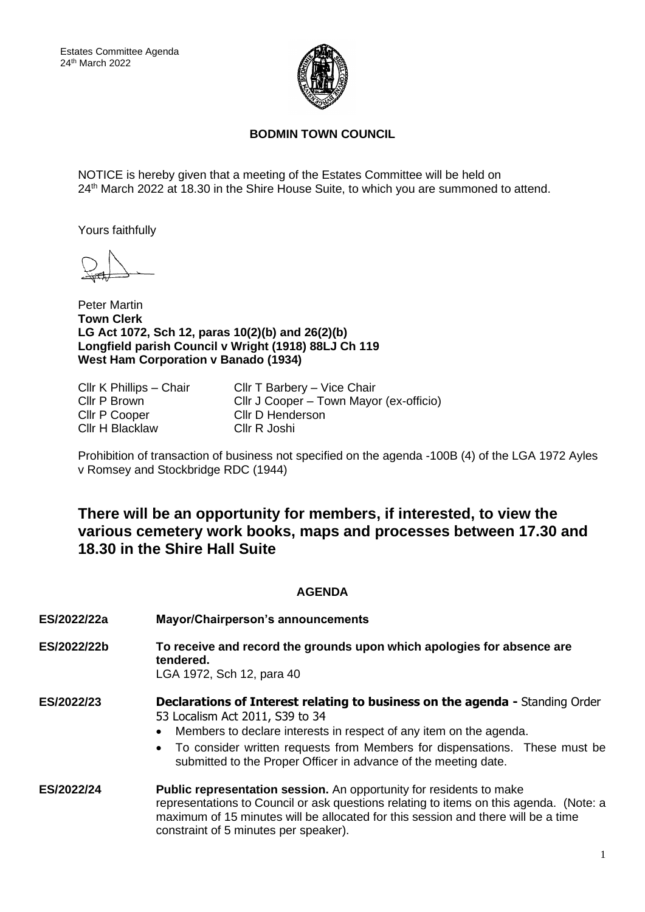

## **BODMIN TOWN COUNCIL**

NOTICE is hereby given that a meeting of the Estates Committee will be held on 24<sup>th</sup> March 2022 at 18.30 in the Shire House Suite, to which you are summoned to attend.

Yours faithfully

Peter Martin **Town Clerk LG Act 1072, Sch 12, paras 10(2)(b) and 26(2)(b) Longfield parish Council v Wright (1918) 88LJ Ch 119 West Ham Corporation v Banado (1934)**

Cllr P Cooper Cllr D Henderson Cllr H Blacklaw Cllr R Joshi

Cllr K Phillips – Chair Cllr T Barbery – Vice Chair Cllr P Brown Cllr J Cooper – Town Mayor (ex-officio)

Prohibition of transaction of business not specified on the agenda -100B (4) of the LGA 1972 Ayles v Romsey and Stockbridge RDC (1944)

## **There will be an opportunity for members, if interested, to view the various cemetery work books, maps and processes between 17.30 and 18.30 in the Shire Hall Suite**

## **AGENDA**

| ES/2022/22a | <b>Mayor/Chairperson's announcements</b>                                                                                                                                                                                                                                                                                                        |
|-------------|-------------------------------------------------------------------------------------------------------------------------------------------------------------------------------------------------------------------------------------------------------------------------------------------------------------------------------------------------|
| ES/2022/22b | To receive and record the grounds upon which apologies for absence are<br>tendered.<br>LGA 1972, Sch 12, para 40                                                                                                                                                                                                                                |
| ES/2022/23  | <b>Declarations of Interest relating to business on the agenda - Standing Order</b><br>53 Localism Act 2011, S39 to 34<br>Members to declare interests in respect of any item on the agenda.<br>• To consider written requests from Members for dispensations. These must be<br>submitted to the Proper Officer in advance of the meeting date. |
| ES/2022/24  | Public representation session. An opportunity for residents to make<br>representations to Council or ask questions relating to items on this agenda. (Note: a<br>maximum of 15 minutes will be allocated for this session and there will be a time<br>constraint of 5 minutes per speaker).                                                     |